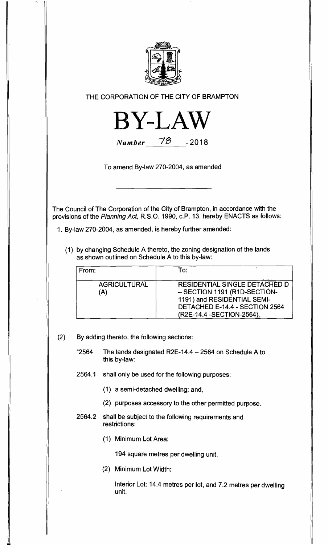

**THE CORPORATION OF THE CITY OF BRAMPTON** 



**Number 70 - <sup>2018</sup>**

**To amend By-law 270-2004, as amended** 

**The Council of The Corporation of the City of Brampton, in accordance with the provisions of the Planning Act, R.S.O. 1990, c.P. 13, hereby ENACTS as follows:** 

**1. By-law 270-2004, as amended, is hereby further amended:** 

**(1) by changing Schedule A thereto, the zoning designation of the lands as shown outlined on Schedule A to this by-law:** 

| From:                      | To:                                                                                                                                                          |
|----------------------------|--------------------------------------------------------------------------------------------------------------------------------------------------------------|
| <b>AGRICULTURAL</b><br>(A) | RESIDENTIAL SINGLE DETACHED D<br>- SECTION 1191 (R1D-SECTION-<br>1191) and RESIDENTIAL SEMI-<br>DETACHED E-14.4 - SECTION 2564<br>(R2E-14.4 - SECTION-2564). |

**(2) By adding thereto, the following sections:** 

**"2564 The lands designated R2E-14.4 — 2564 on Schedule A to this by-law:** 

**2564.1 shall only be used for the following purposes:** 

**(1) a semi-detached dwelling; and,** 

**(2) purposes accessory to the other permitted purpose.** 

## **2564.2 shall be subject to the following requirements and restrictions:**

**(1) Minimum Lot Area:** 

**194 square metres per dwelling unit.** 

**(2) Minimum Lot Width:** 

**Interior Lot: 14.4 metres per lot, and 7.2 metres per dwelling unit.**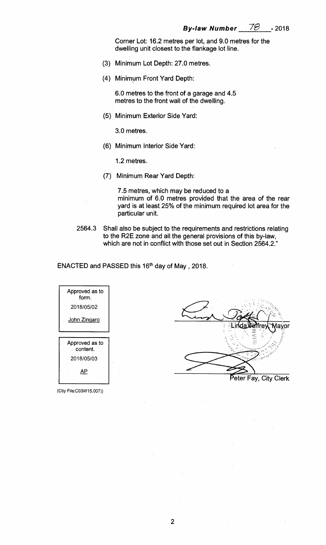Corner Lot: 16.2 metres per lot, and 9.0 metres for the dwelling unit closest to the flankage lot line.

- (3) Minimum Lot Depth: 27.0 metres.
- (4) Minimum Front Yard Depth:

6.0 metres to the front of a garage and 4.5 metres to the front wall of the dwelling.

(5) Minimum Exterior Side Yard:

3.0 metres.

(6) Minimum Interior Side Yard:

1.2 metres.

(7) Minimum Rear Yard Depth:

7.5 metres, which may be reduced to a minimum of 6.0 metres provided that the area of the rear yard is at least 25% of the minimum required lot area for the particular unit.

2564.3 Shall also be subject to the requirements and restrictions relating to the R2E zone and all the general provisions of this by-law, which are not in conflict with those set out in Section 2564.2."

ENACTED and PASSED this 16th day of May , 2018.

| Approved as to<br>form.    |  |
|----------------------------|--|
| 2018/05/02                 |  |
| <u>John Zingaro</u>        |  |
|                            |  |
|                            |  |
| Approved as to<br>content. |  |
| 2018/05/03                 |  |
|                            |  |

(Ctiy File:CO3W15.007))



Peter Fay, City Clerk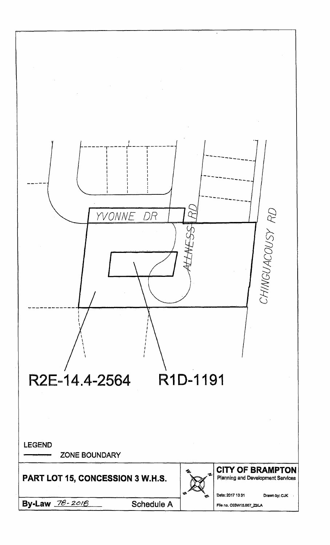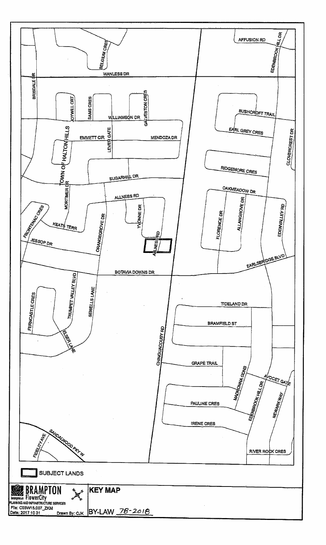